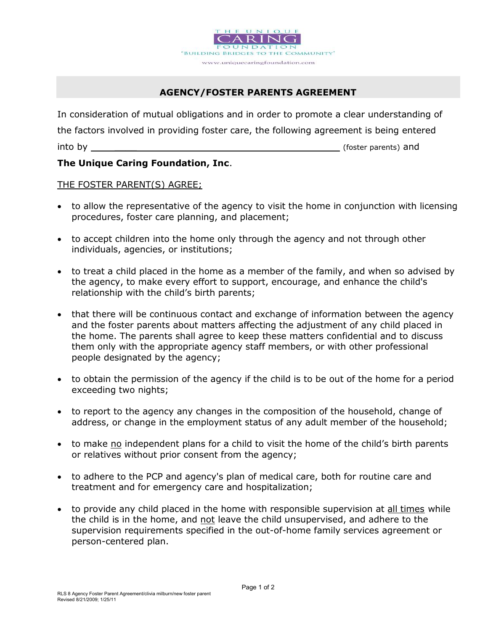

# AGENCY/FOSTER PARENTS AGREEMENT

In consideration of mutual obligations and in order to promote a clear understanding of the factors involved in providing foster care, the following agreement is being entered into by a set of the set of the set of the set of the set of the set of the set of the set of the set of the set of the set of the set of the set of the set of the set of the set of the set of the set of the set of the set

# The Unique Caring Foundation, Inc.

## THE FOSTER PARENT(S) AGREE;

- to allow the representative of the agency to visit the home in conjunction with licensing procedures, foster care planning, and placement;
- to accept children into the home only through the agency and not through other individuals, agencies, or institutions;
- to treat a child placed in the home as a member of the family, and when so advised by the agency, to make every effort to support, encourage, and enhance the child's relationship with the child's birth parents;
- that there will be continuous contact and exchange of information between the agency and the foster parents about matters affecting the adjustment of any child placed in the home. The parents shall agree to keep these matters confidential and to discuss them only with the appropriate agency staff members, or with other professional people designated by the agency;
- to obtain the permission of the agency if the child is to be out of the home for a period exceeding two nights;
- to report to the agency any changes in the composition of the household, change of address, or change in the employment status of any adult member of the household;
- to make no independent plans for a child to visit the home of the child's birth parents or relatives without prior consent from the agency;
- to adhere to the PCP and agency's plan of medical care, both for routine care and treatment and for emergency care and hospitalization;
- to provide any child placed in the home with responsible supervision at all times while the child is in the home, and not leave the child unsupervised, and adhere to the supervision requirements specified in the out-of-home family services agreement or person-centered plan.